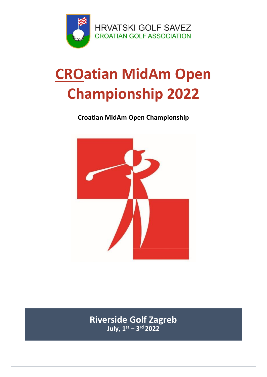

**HRVATSKI GOLF SAVEZ CROATIAN GOLF ASSOCIATION** 

## **CROatian MidAm Open Championship 2022**

## **Croatian MidAm Open Championship**



**Riverside Golf Zagreb** July, 1st - 3rd 2022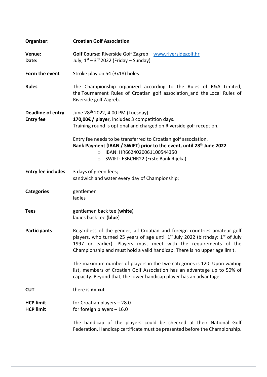|                                       | <b>Croatian Golf Association</b>                                                                                                                                                                                                                                                                                                     |
|---------------------------------------|--------------------------------------------------------------------------------------------------------------------------------------------------------------------------------------------------------------------------------------------------------------------------------------------------------------------------------------|
| Organizer:                            |                                                                                                                                                                                                                                                                                                                                      |
| Venue:<br>Date:                       | Golf Course: Riverside Golf Zagreb - www.riversidegolf.hr<br>July, $1st - 3rd 2022$ (Friday – Sunday)                                                                                                                                                                                                                                |
| Form the event                        | Stroke play on 54 (3x18) holes                                                                                                                                                                                                                                                                                                       |
| <b>Rules</b>                          | The Championship organized according to the Rules of R&A Limited,<br>the Tournament Rules of Croatian golf association and the Local Rules of<br>Riverside golf Zagreb.                                                                                                                                                              |
| Deadline of entry<br><b>Entry fee</b> | June 28 <sup>th</sup> 2022, 4.00 PM (Tuesday)<br>170,00€ / player, includes 3 competition days.<br>Training round is optional and charged on Riverside golf reception.                                                                                                                                                               |
|                                       | Entry fee needs to be transferred to Croatian golf association.<br>Bank Payment (IBAN / SWIFT) prior to the event, until 28 <sup>th</sup> June 2022<br>IBAN: HR6624020061100544350<br>$\circ$<br>SWIFT: ESBCHR22 (Erste Bank Rijeka)<br>$\circ$                                                                                      |
| <b>Entry fee includes</b>             | 3 days of green fees;<br>sandwich and water every day of Championship;                                                                                                                                                                                                                                                               |
| <b>Categories</b>                     | gentlemen<br>ladies                                                                                                                                                                                                                                                                                                                  |
| <b>Tees</b>                           | gentlemen back tee (white)<br>ladies back tee (blue)                                                                                                                                                                                                                                                                                 |
| <b>Participants</b>                   | Regardless of the gender, all Croatian and foreign countries amateur golf<br>players, who turned 25 years of age until 1 <sup>st</sup> July 2022 (birthday: 1 <sup>st</sup> of July<br>1997 or earlier). Players must meet with the requirements of the<br>Championship and must hold a valid handicap. There is no upper age limit. |
|                                       | The maximum number of players in the two categories is 120. Upon waiting<br>list, members of Croatian Golf Association has an advantage up to 50% of<br>capacity. Beyond that, the lower handicap player has an advantage.                                                                                                           |
| <b>CUT</b>                            | there is no cut                                                                                                                                                                                                                                                                                                                      |
| <b>HCP limit</b><br><b>HCP limit</b>  | for Croatian players - 28.0<br>for foreign players $-16.0$                                                                                                                                                                                                                                                                           |
|                                       | The handicap of the players could be checked at their National Golf<br>Federation. Handicap certificate must be presented before the Championship.                                                                                                                                                                                   |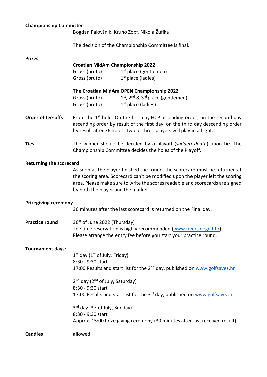| <b>Championship Committee</b>  | Bogdan Palovšnik, Kruno Zopf, Nikola Žufika                                                                                                                                                                                                                                          |  |
|--------------------------------|--------------------------------------------------------------------------------------------------------------------------------------------------------------------------------------------------------------------------------------------------------------------------------------|--|
|                                | The decision of the Championship Committee is final.                                                                                                                                                                                                                                 |  |
| <b>Prizes</b>                  |                                                                                                                                                                                                                                                                                      |  |
|                                | <b>Croatian MidAm Championship 2022</b><br>Gross (bruto)<br>$1st$ place (gentlemen)                                                                                                                                                                                                  |  |
|                                | $1st$ place (ladies)<br>Gross (bruto)                                                                                                                                                                                                                                                |  |
|                                | The Croatian MidAm OPEN Championship 2022                                                                                                                                                                                                                                            |  |
|                                | $1st$ , $2nd$ & $3rd$ place (gentlemen)<br>Gross (bruto)<br>$1st$ place (ladies)<br>Gross (bruto)                                                                                                                                                                                    |  |
| <b>Order of tee-offs</b>       | From the $1st$ hole. On the first day HCP ascending order, on the second-day<br>ascending order by result of the first day, on the third day descending order<br>by result after 36 holes. Two or three players will play in a flight.                                               |  |
| <b>Ties</b>                    | The winner should be decided by a playoff (sudden death) upon tie. The<br>Championship Committee decides the holes of the Playoff.                                                                                                                                                   |  |
| <b>Returning the scorecard</b> |                                                                                                                                                                                                                                                                                      |  |
|                                | As soon as the player finished the round, the scorecard must be returned at<br>the scoring area. Scorecard can't be modified upon the player left the scoring<br>area. Please make sure to write the scores readable and scorecards are signed<br>by both the player and the marker. |  |
| <b>Prizegiving ceremony</b>    |                                                                                                                                                                                                                                                                                      |  |
|                                | 30 minutes after the last scorecard is returned on the Final day.                                                                                                                                                                                                                    |  |
| <b>Practice round</b>          | 30 <sup>st</sup> of June 2022 (Thursday)<br>Tee time reservation is highly recommended (www.riversidegolf.hr)<br>Please arrange the entry fee before you start your practice round.                                                                                                  |  |
| <b>Tournament days:</b>        |                                                                                                                                                                                                                                                                                      |  |
|                                | $1st$ day ( $1st$ of July, Friday)                                                                                                                                                                                                                                                   |  |
|                                | 8:30 - 9:30 start<br>17:00 Results and start list for the 2 <sup>nd</sup> day, published on www.golfsavez.hr                                                                                                                                                                         |  |
|                                | 2 <sup>nd</sup> day (2 <sup>nd</sup> of July, Saturday)                                                                                                                                                                                                                              |  |
|                                | 8:30 - 9:30 start<br>17:00 Results and start list for the 3 <sup>rd</sup> day, published on www.golfsavez.hr                                                                                                                                                                         |  |
|                                | 3rd day (3rd of July, Sunday)                                                                                                                                                                                                                                                        |  |
|                                | 8:30 - 9:30 start<br>Approx. 15:00 Prize giving ceremony (30 minutes after last received result)                                                                                                                                                                                     |  |
| <b>Caddies</b>                 | allowed                                                                                                                                                                                                                                                                              |  |